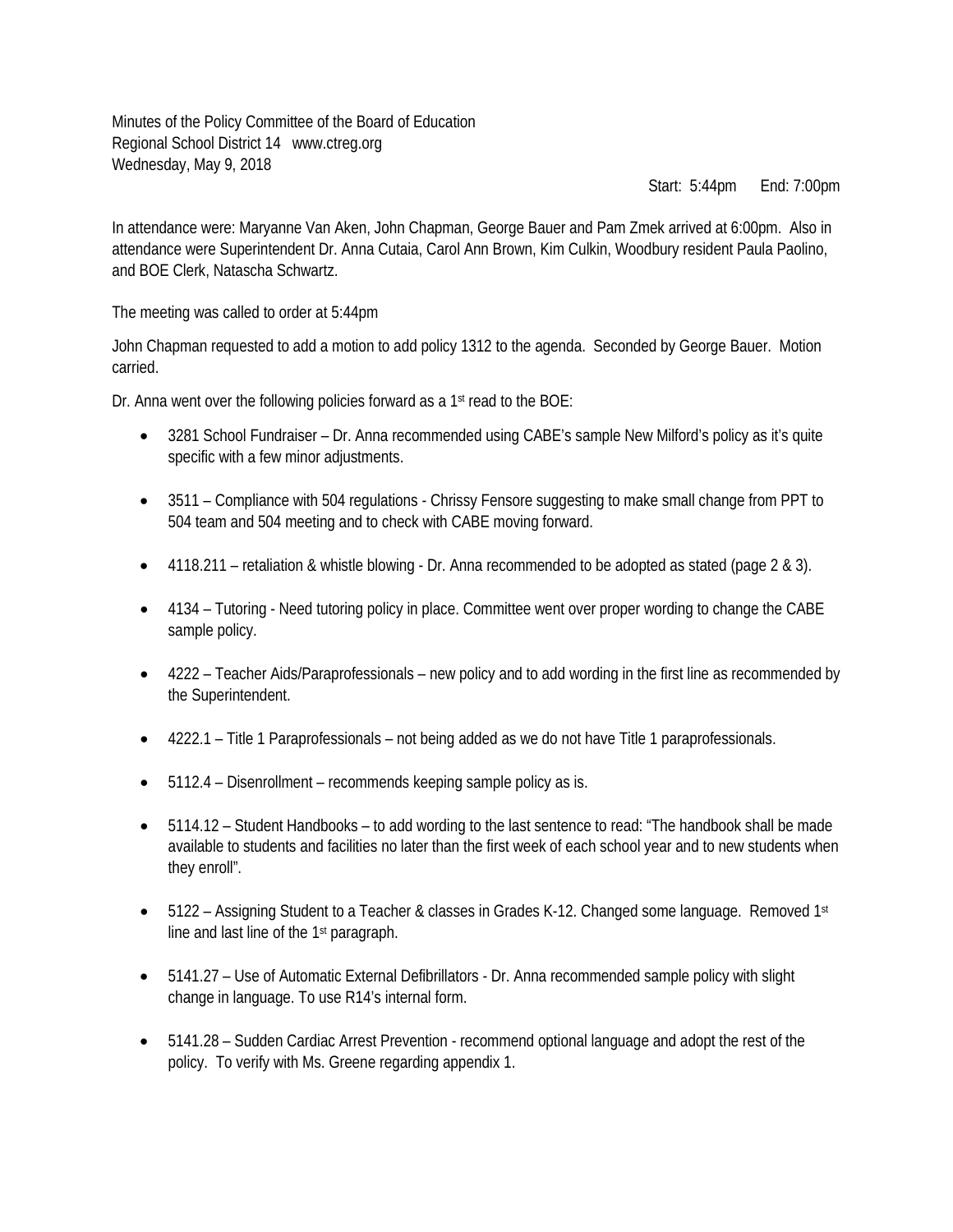Minutes of the Policy Committee of the Board of Education Regional School District 14 www.ctreg.org Wednesday, May 9, 2018

Start: 5:44pm End: 7:00pm

In attendance were: Maryanne Van Aken, John Chapman, George Bauer and Pam Zmek arrived at 6:00pm. Also in attendance were Superintendent Dr. Anna Cutaia, Carol Ann Brown, Kim Culkin, Woodbury resident Paula Paolino, and BOE Clerk, Natascha Schwartz.

The meeting was called to order at 5:44pm

John Chapman requested to add a motion to add policy 1312 to the agenda. Seconded by George Bauer. Motion carried.

Dr. Anna went over the following policies forward as a 1<sup>st</sup> read to the BOE:

- 3281 School Fundraiser Dr. Anna recommended using CABE's sample New Milford's policy as it's quite specific with a few minor adjustments.
- 3511 Compliance with 504 regulations Chrissy Fensore suggesting to make small change from PPT to 504 team and 504 meeting and to check with CABE moving forward.
- 4118.211 retaliation & whistle blowing Dr. Anna recommended to be adopted as stated (page 2 & 3).
- 4134 Tutoring Need tutoring policy in place. Committee went over proper wording to change the CABE sample policy.
- 4222 Teacher Aids/Paraprofessionals new policy and to add wording in the first line as recommended by the Superintendent.
- 4222.1 Title 1 Paraprofessionals not being added as we do not have Title 1 paraprofessionals.
- 5112.4 Disenrollment recommends keeping sample policy as is.
- 5114.12 Student Handbooks to add wording to the last sentence to read: "The handbook shall be made available to students and facilities no later than the first week of each school year and to new students when they enroll".
- 5122 Assigning Student to a Teacher & classes in Grades K-12. Changed some language. Removed 1st line and last line of the 1st paragraph.
- 5141.27 Use of Automatic External Defibrillators Dr. Anna recommended sample policy with slight change in language. To use R14's internal form.
- 5141.28 Sudden Cardiac Arrest Prevention recommend optional language and adopt the rest of the policy. To verify with Ms. Greene regarding appendix 1.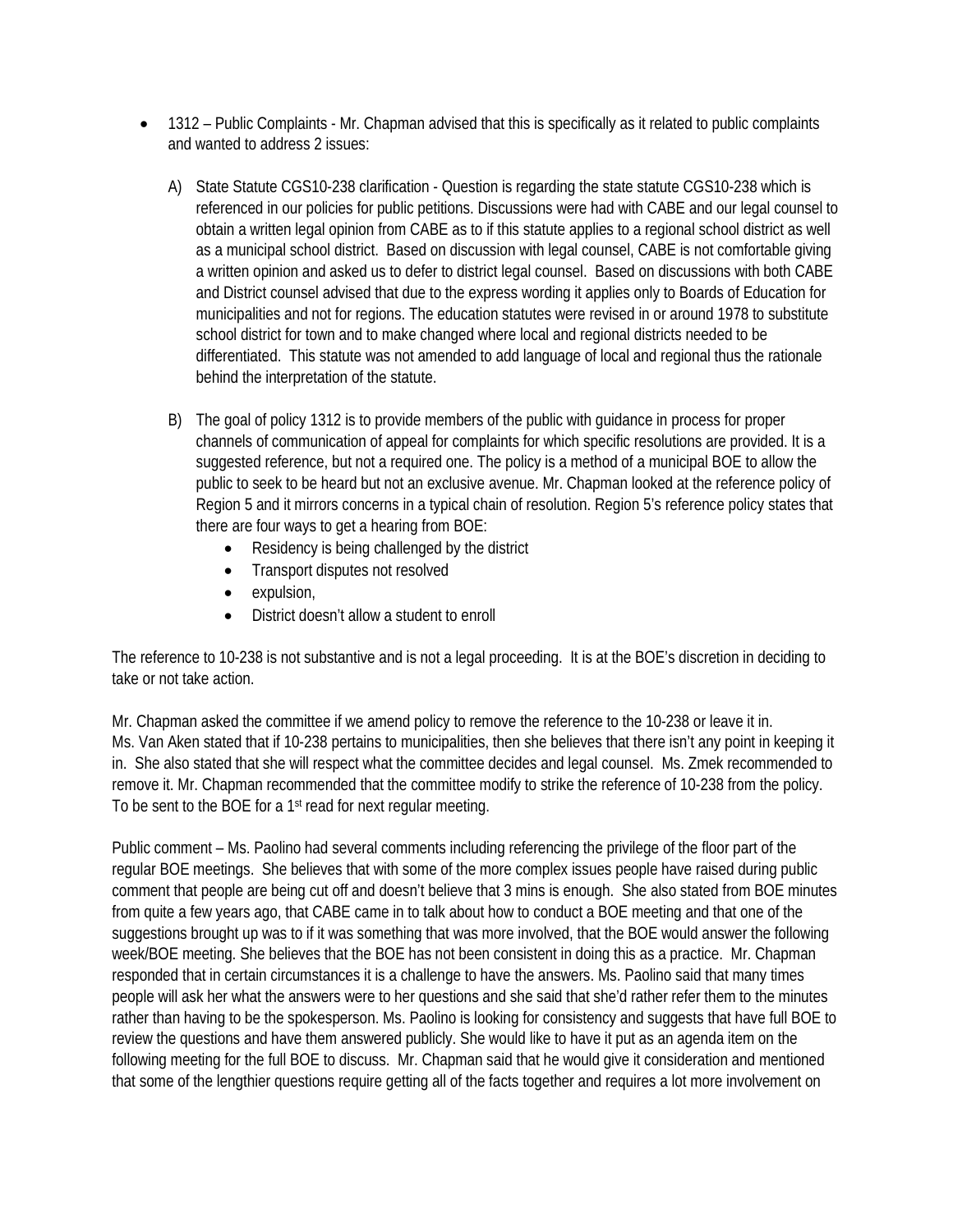- 1312 Public Complaints Mr. Chapman advised that this is specifically as it related to public complaints and wanted to address 2 issues:
	- A) State Statute CGS10-238 clarification Question is regarding the state statute CGS10-238 which is referenced in our policies for public petitions. Discussions were had with CABE and our legal counsel to obtain a written legal opinion from CABE as to if this statute applies to a regional school district as well as a municipal school district. Based on discussion with legal counsel, CABE is not comfortable giving a written opinion and asked us to defer to district legal counsel. Based on discussions with both CABE and District counsel advised that due to the express wording it applies only to Boards of Education for municipalities and not for regions. The education statutes were revised in or around 1978 to substitute school district for town and to make changed where local and regional districts needed to be differentiated. This statute was not amended to add language of local and regional thus the rationale behind the interpretation of the statute.
	- B) The goal of policy 1312 is to provide members of the public with guidance in process for proper channels of communication of appeal for complaints for which specific resolutions are provided. It is a suggested reference, but not a required one. The policy is a method of a municipal BOE to allow the public to seek to be heard but not an exclusive avenue. Mr. Chapman looked at the reference policy of Region 5 and it mirrors concerns in a typical chain of resolution. Region 5's reference policy states that there are four ways to get a hearing from BOE:
		- Residency is being challenged by the district
		- Transport disputes not resolved
		- expulsion,
		- District doesn't allow a student to enroll

The reference to 10-238 is not substantive and is not a legal proceeding. It is at the BOE's discretion in deciding to take or not take action.

Mr. Chapman asked the committee if we amend policy to remove the reference to the 10-238 or leave it in. Ms. Van Aken stated that if 10-238 pertains to municipalities, then she believes that there isn't any point in keeping it in. She also stated that she will respect what the committee decides and legal counsel. Ms. Zmek recommended to remove it. Mr. Chapman recommended that the committee modify to strike the reference of 10-238 from the policy. To be sent to the BOE for a 1<sup>st</sup> read for next regular meeting.

Public comment – Ms. Paolino had several comments including referencing the privilege of the floor part of the regular BOE meetings. She believes that with some of the more complex issues people have raised during public comment that people are being cut off and doesn't believe that 3 mins is enough. She also stated from BOE minutes from quite a few years ago, that CABE came in to talk about how to conduct a BOE meeting and that one of the suggestions brought up was to if it was something that was more involved, that the BOE would answer the following week/BOE meeting. She believes that the BOE has not been consistent in doing this as a practice. Mr. Chapman responded that in certain circumstances it is a challenge to have the answers. Ms. Paolino said that many times people will ask her what the answers were to her questions and she said that she'd rather refer them to the minutes rather than having to be the spokesperson. Ms. Paolino is looking for consistency and suggests that have full BOE to review the questions and have them answered publicly. She would like to have it put as an agenda item on the following meeting for the full BOE to discuss. Mr. Chapman said that he would give it consideration and mentioned that some of the lengthier questions require getting all of the facts together and requires a lot more involvement on